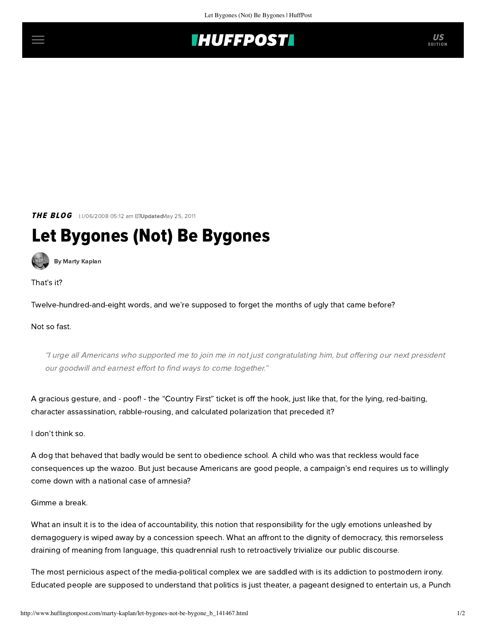

**THE BLOG** 11/06/2008 05:12 am ETUpdatedMay 25, 2011

## Let Bygones (Not) Be Bygones

[By Marty Kaplan](http://www.huffingtonpost.com/author/marty-kaplan)

That's it?

Twelve-hundred-and-eight words, and we're supposed to forget the months of ugly that came before?

## Not so fast.

"I urge all Americans who supported me to join me in not just congratulating him, but offering our next president our goodwill and earnest effort to find ways to come together."

A gracious gesture, and - poof! - the "Country First" ticket is off the hook, just like that, for the lying, red-baiting, character assassination, rabble-rousing, and calculated polarization that preceded it?

I don't think so.

A dog that behaved that badly would be sent to obedience school. A child who was that reckless would face consequences up the wazoo. But just because Americans are good people, a campaign's end requires us to willingly come down with a national case of amnesia?

Gimme a break.

What an insult it is to the idea of accountability, this notion that responsibility for the ugly emotions unleashed by demagoguery is wiped away by a concession speech. What an affront to the dignity of democracy, this remorseless draining of meaning from language, this quadrennial rush to retroactively trivialize our public discourse.

The most pernicious aspect of the media-political complex we are saddled with is its addiction to postmodern irony. Educated people are supposed to understand that politics is just theater, a pageant designed to entertain us, a Punch